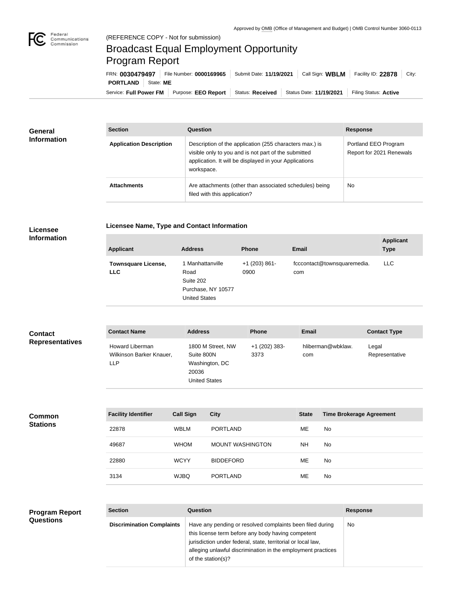

## Broadcast Equal Employment Opportunity Program Report

Service: Full Power FM Purpose: EEO Report | Status: Received | Status Date: 11/19/2021 | Filing Status: Active **PORTLAND** State: ME FRN: **0030479497** File Number: **0000169965** Submit Date: **11/19/2021** Call Sign: **WBLM** Facility ID: **22878** City:

| General<br><b>Information</b> | <b>Section</b>                 | <b>Question</b>                                                                                                                                                                         | <b>Response</b>                                  |  |
|-------------------------------|--------------------------------|-----------------------------------------------------------------------------------------------------------------------------------------------------------------------------------------|--------------------------------------------------|--|
|                               | <b>Application Description</b> | Description of the application (255 characters max.) is<br>visible only to you and is not part of the submitted<br>application. It will be displayed in your Applications<br>workspace. | Portland EEO Program<br>Report for 2021 Renewals |  |
|                               | <b>Attachments</b>             | Are attachments (other than associated schedules) being<br>filed with this application?                                                                                                 | No                                               |  |

## **Licensee**

## **Licensee Name, Type and Contact Information**

**Information**

| <b>Applicant</b>                         | <b>Address</b>                                                                      | <b>Phone</b>            | Email                              | <b>Applicant</b><br><b>Type</b> |
|------------------------------------------|-------------------------------------------------------------------------------------|-------------------------|------------------------------------|---------------------------------|
| <b>Townsquare License,</b><br><b>LLC</b> | 1 Manhattanville<br>Road<br>Suite 202<br>Purchase, NY 10577<br><b>United States</b> | $+1$ (203) 861-<br>0900 | fcccontact@townsquaremedia.<br>com | LLC.                            |

| <b>Contact</b>         | <b>Contact Name</b>                                              | <b>Address</b>                                                                     | <b>Phone</b>          | <b>Email</b>             | <b>Contact Type</b>     |
|------------------------|------------------------------------------------------------------|------------------------------------------------------------------------------------|-----------------------|--------------------------|-------------------------|
| <b>Representatives</b> | <b>Howard Liberman</b><br>Wilkinson Barker Knauer,<br><b>LLP</b> | 1800 M Street, NW<br>Suite 800N<br>Washington, DC<br>20036<br><b>United States</b> | +1 (202) 383-<br>3373 | hliberman@wbklaw.<br>com | Legal<br>Representative |

| <b>Common</b><br><b>Stations</b> | <b>Facility Identifier</b> | <b>Call Sign</b> | <b>City</b>             | <b>State</b> | <b>Time Brokerage Agreement</b> |
|----------------------------------|----------------------------|------------------|-------------------------|--------------|---------------------------------|
|                                  | 22878                      | <b>WBLM</b>      | <b>PORTLAND</b>         | ME           | <b>No</b>                       |
|                                  | 49687                      | <b>WHOM</b>      | <b>MOUNT WASHINGTON</b> | <b>NH</b>    | No                              |
|                                  | 22880                      | <b>WCYY</b>      | <b>BIDDEFORD</b>        | ME           | <b>No</b>                       |
|                                  | 3134                       | <b>WJBQ</b>      | <b>PORTLAND</b>         | ME           | No                              |

## **Program Report Questions**

| <b>Section</b>                   | Question                                                                                                                                                                                                                                                              | <b>Response</b> |
|----------------------------------|-----------------------------------------------------------------------------------------------------------------------------------------------------------------------------------------------------------------------------------------------------------------------|-----------------|
| <b>Discrimination Complaints</b> | Have any pending or resolved complaints been filed during<br>this license term before any body having competent<br>jurisdiction under federal, state, territorial or local law,<br>alleging unlawful discrimination in the employment practices<br>of the station(s)? | No.             |